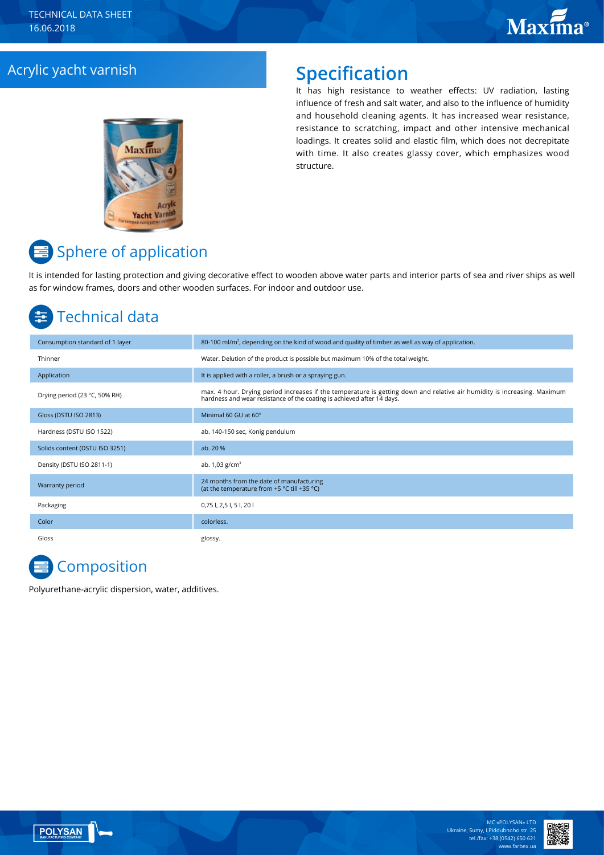# Acrylic yacht varnish **Specification**

# Maxima

It has high resistance to weather effects: UV radiation, lasting influence of fresh and salt water, and also to the influence of humidity and household cleaning agents. It has increased wear resistance, resistance to scratching, impact and other intensive mechanical loadings. It creates solid and elastic film, which does not decrepitate with time. It also creates glassy cover, which emphasizes wood structure.

# **■** Sphere of application

It is intended for lasting protection and giving decorative effect to wooden above water parts and interior parts of sea and river ships as well as for window frames, doors and other wooden surfaces. For indoor and outdoor use.

# Technical data

| Consumption standard of 1 layer | 80-100 ml/m <sup>2</sup> , depending on the kind of wood and quality of timber as well as way of application.                                                                                      |
|---------------------------------|----------------------------------------------------------------------------------------------------------------------------------------------------------------------------------------------------|
| Thinner                         | Water. Delution of the product is possible but maximum 10% of the total weight.                                                                                                                    |
| Application                     | It is applied with a roller, a brush or a spraying gun.                                                                                                                                            |
| Drying period (23 °C, 50% RH)   | max. 4 hour. Drying period increases if the temperature is getting down and relative air humidity is increasing. Maximum<br>hardness and wear resistance of the coating is achieved after 14 days. |
| Gloss (DSTU ISO 2813)           | Minimal 60 GU at 60°                                                                                                                                                                               |
| Hardness (DSTU ISO 1522)        | ab. 140-150 sec, Konig pendulum                                                                                                                                                                    |
| Solids content (DSTU ISO 3251)  | ab. 20 %                                                                                                                                                                                           |
| Density (DSTU ISO 2811-1)       | ab. $1,03$ g/cm <sup>3</sup>                                                                                                                                                                       |
| Warranty period                 | 24 months from the date of manufacturing<br>(at the temperature from +5 °C till +35 °C)                                                                                                            |
| Packaging                       | 0,75 l, 2,5 l, 5 l, 20 l                                                                                                                                                                           |
| Color                           | colorless.                                                                                                                                                                                         |
| Gloss                           | glossy.                                                                                                                                                                                            |

**Composition** 

Polyurethane-acrylic dispersion, water, additives.